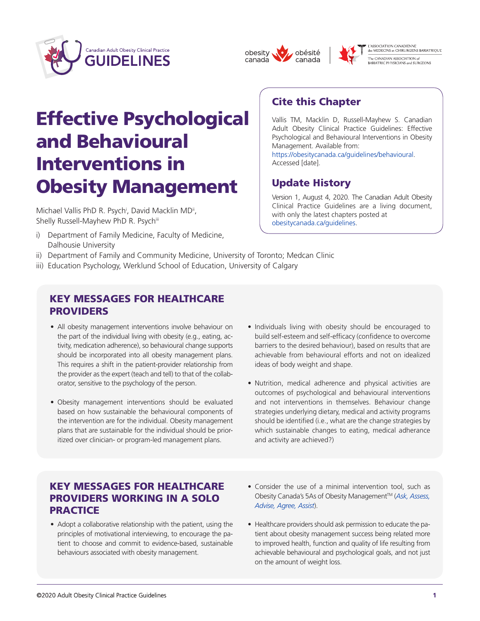





Vallis TM, Macklin D, Russell-Mayhew S. Canadian Adult Obesity Clinical Practice Guidelines: Effective Psychological and Behavioural Interventions in Obesity

Version 1, August 4, 2020. The Canadian Adult Obesity Clinical Practice Guidelines are a living document,

[https://obesitycanada.ca/guidelines/behavioural.](https://obesitycanada.ca/guidelines/behavioural) 

Cite this Chapter

Management. Available from:

Update History

[obesitycanada.ca/guidelines.](https://obesitycanada.ca/guidelines)

with only the latest chapters posted at

Accessed [date].

L'ASSOCIATION CANADIENNE<br>des MEDECINS et CHIRURGIENS BARIATRIQUE -<br>The CANADIAN ASSOCIATION of<br>BARIATRIC PHYSICIANS and SURGEONS

# Effective Psychological and Behavioural Interventions in Obesity Management

Michael Vallis PhD R. Psych<sup>i</sup>, David Macklin MD<sup>ii</sup>, Shelly Russell-Mayhew PhD R. Psychiii

- i) Department of Family Medicine, Faculty of Medicine, Dalhousie University
- ii) Department of Family and Community Medicine, University of Toronto; Medcan Clinic
- iii) Education Psychology, Werklund School of Education, University of Calgary

#### KEY MESSAGES FOR HEALTHCARE PROVIDERS

- All obesity management interventions involve behaviour on the part of the individual living with obesity (e.g., eating, activity, medication adherence), so behavioural change supports should be incorporated into all obesity management plans. This requires a shift in the patient-provider relationship from the provider as the expert (teach and tell) to that of the collaborator, sensitive to the psychology of the person.
- Obesity management interventions should be evaluated based on how sustainable the behavioural components of the intervention are for the individual. Obesity management plans that are sustainable for the individual should be prioritized over clinician- or program-led management plans.
- Individuals living with obesity should be encouraged to build self-esteem and self-efficacy (confidence to overcome barriers to the desired behaviour), based on results that are achievable from behavioural efforts and not on idealized ideas of body weight and shape.
- • Nutrition, medical adherence and physical activities are outcomes of psychological and behavioural interventions and not interventions in themselves. Behaviour change strategies underlying dietary, medical and activity programs should be identified (i.e., what are the change strategies by which sustainable changes to eating, medical adherance and activity are achieved?)

# KEY MESSAGES FOR HEALTHCARE PROVIDERS WORKING IN A SOLO **PRACTICE**

- Adopt a collaborative relationship with the patient, using the principles of motivational interviewing, to encourage the patient to choose and commit to evidence-based, sustainable behaviours associated with obesity management.
- Consider the use of a minimal intervention tool, such as Obesity Canada's 5As of Obesity ManagementTM (*[Ask, Assess,](https://obesitycanada.ca/resources/5as/)  [Advise, Agree, Assist](https://obesitycanada.ca/resources/5as/)*).
- Healthcare providers should ask permission to educate the patient about obesity management success being related more to improved health, function and quality of life resulting from achievable behavioural and psychological goals, and not just on the amount of weight loss.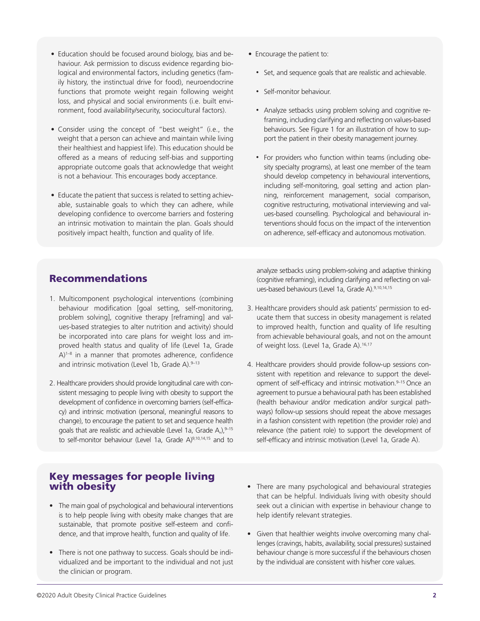- Education should be focused around biology, bias and behaviour. Ask permission to discuss evidence regarding biological and environmental factors, including genetics (family history, the instinctual drive for food), neuroendocrine functions that promote weight regain following weight loss, and physical and social environments (i.e. built environment, food availability/security, sociocultural factors).
- • Consider using the concept of "best weight" (i.e., the weight that a person can achieve and maintain while living their healthiest and happiest life). This education should be offered as a means of reducing self-bias and supporting appropriate outcome goals that acknowledge that weight is not a behaviour. This encourages body acceptance.
- Educate the patient that success is related to setting achievable, sustainable goals to which they can adhere, while developing confidence to overcome barriers and fostering an intrinsic motivation to maintain the plan. Goals should positively impact health, function and quality of life.
- Encourage the patient to:
	- Set, and sequence goals that are realistic and achievable.
	- Self-monitor behaviour.
	- Analyze setbacks using problem solving and cognitive reframing, including clarifying and reflecting on values-based behaviours. See Figure 1 for an illustration of how to support the patient in their obesity management journey.
	- For providers who function within teams (including obesity specialty programs), at least one member of the team should develop competency in behavioural interventions, including self-monitoring, goal setting and action planning, reinforcement management, social comparison, cognitive restructuring, motivational interviewing and values-based counselling. Psychological and behavioural interventions should focus on the impact of the intervention on adherence, self-efficacy and autonomous motivation.

#### Recommendations

- 1. Multicomponent psychological interventions (combining behaviour modification [goal setting, self-monitoring, problem solving], cognitive therapy [reframing] and values-based strategies to alter nutrition and activity) should be incorporated into care plans for weight loss and improved health status and quality of life (Level 1a, Grade A)<sup>1-8</sup> in a manner that promotes adherence, confidence and intrinsic motivation (Level 1b, Grade A).  $9-13$
- 2. Healthcare providers should provide longitudinal care with consistent messaging to people living with obesity to support the development of confidence in overcoming barriers (self-efficacy) and intrinsic motivation (personal, meaningful reasons to change), to encourage the patient to set and sequence health goals that are realistic and achievable (Level 1a, Grade A,), $9-15$ to self-monitor behaviour (Level 1a, Grade A)<sup>9,10,14,15</sup> and to

analyze setbacks using problem-solving and adaptive thinking (cognitive reframing), including clarifying and reflecting on values-based behaviours (Level 1a, Grade A).9,10,14,15

- 3. Healthcare providers should ask patients' permission to educate them that success in obesity management is related to improved health, function and quality of life resulting from achievable behavioural goals, and not on the amount of weight loss. (Level 1a, Grade A).<sup>16,17</sup>
- 4. Healthcare providers should provide follow-up sessions consistent with repetition and relevance to support the development of self-efficacy and intrinsic motivation.<sup>9-15</sup> Once an agreement to pursue a behavioural path has been established (health behaviour and/or medication and/or surgical pathways) follow-up sessions should repeat the above messages in a fashion consistent with repetition (the provider role) and relevance (the patient role) to support the development of self-efficacy and intrinsic motivation (Level 1a, Grade A).

#### Key messages for people living with obesity

- The main goal of psychological and behavioural interventions is to help people living with obesity make changes that are sustainable, that promote positive self-esteem and confidence, and that improve health, function and quality of life.
- There is not one pathway to success. Goals should be individualized and be important to the individual and not just the clinician or program.
- There are many psychological and behavioural strategies that can be helpful. Individuals living with obesity should seek out a clinician with expertise in behaviour change to help identify relevant strategies.
- Given that healthier weights involve overcoming many challenges (cravings, habits, availability, social pressures) sustained behaviour change is more successful if the behaviours chosen by the individual are consistent with his/her core values.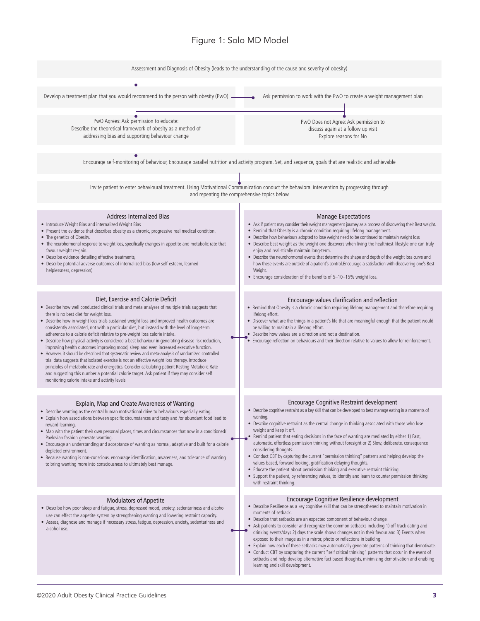#### Figure 1: Solo MD Model

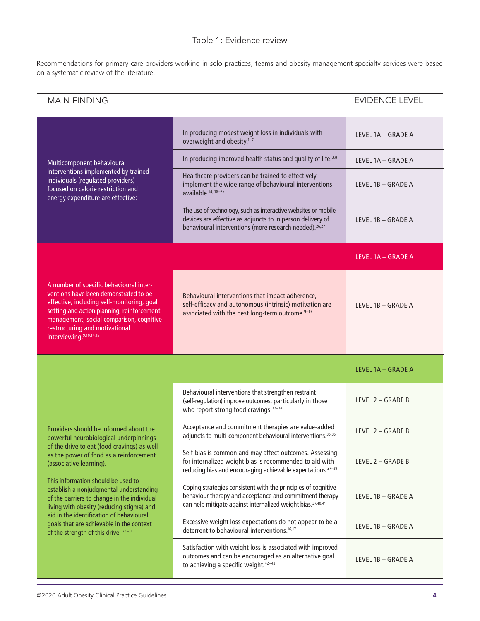#### Table 1: Evidence review

Recommendations for primary care providers working in solo practices, teams and obesity management specialty services were based on a systematic review of the literature.

| <b>MAIN FINDING</b>                                                                                                                                                                                                                                                                                                                                                                                                                                                                                                |                                                                                                                                                                                                   | <b>EVIDENCE LEVEL</b> |
|--------------------------------------------------------------------------------------------------------------------------------------------------------------------------------------------------------------------------------------------------------------------------------------------------------------------------------------------------------------------------------------------------------------------------------------------------------------------------------------------------------------------|---------------------------------------------------------------------------------------------------------------------------------------------------------------------------------------------------|-----------------------|
| Multicomponent behavioural<br>interventions implemented by trained<br>individuals (regulated providers)<br>focused on calorie restriction and<br>energy expenditure are effective:                                                                                                                                                                                                                                                                                                                                 | In producing modest weight loss in individuals with<br>overweight and obesity. <sup>1-7</sup>                                                                                                     | LEVEL 1A - GRADE A    |
|                                                                                                                                                                                                                                                                                                                                                                                                                                                                                                                    | In producing improved health status and quality of life. <sup>3,8</sup>                                                                                                                           | LEVEL 1A - GRADE A    |
|                                                                                                                                                                                                                                                                                                                                                                                                                                                                                                                    | Healthcare providers can be trained to effectively<br>implement the wide range of behavioural interventions<br>available. <sup>14, 18-25</sup>                                                    | LEVEL 1B - GRADE A    |
|                                                                                                                                                                                                                                                                                                                                                                                                                                                                                                                    | The use of technology, such as interactive websites or mobile<br>devices are effective as adjuncts to in person delivery of<br>behavioural interventions (more research needed). <sup>26,27</sup> | LEVEL 1B - GRADE A    |
|                                                                                                                                                                                                                                                                                                                                                                                                                                                                                                                    |                                                                                                                                                                                                   | LEVEL 1A - GRADE A    |
| A number of specific behavioural inter-<br>ventions have been demonstrated to be<br>effective, including self-monitoring, goal<br>setting and action planning, reinforcement<br>management, social comparison, cognitive<br>restructuring and motivational<br>interviewing. <sup>9,10,14,15</sup>                                                                                                                                                                                                                  | Behavioural interventions that impact adherence,<br>self-efficacy and autonomous (intrinsic) motivation are<br>associated with the best long-term outcome. <sup>9-13</sup>                        | LEVEL 1B - GRADE A    |
|                                                                                                                                                                                                                                                                                                                                                                                                                                                                                                                    |                                                                                                                                                                                                   | LEVEL 1A - GRADE A    |
|                                                                                                                                                                                                                                                                                                                                                                                                                                                                                                                    | Behavioural interventions that strengthen restraint<br>(self-regulation) improve outcomes, particularly in those<br>who report strong food cravings. <sup>32-34</sup>                             | LEVEL 2 - GRADE B     |
| Providers should be informed about the<br>powerful neurobiological underpinnings<br>of the drive to eat (food cravings) as well<br>as the power of food as a reinforcement<br>(associative learning).<br>This information should be used to<br>establish a nonjudgmental understanding<br>of the barriers to change in the individual<br>living with obesity (reducing stigma) and<br>aid in the identification of behavioural<br>goals that are achievable in the context<br>of the strength of this drive. 28-31 | Acceptance and commitment therapies are value-added<br>adjuncts to multi-component behavioural interventions. <sup>35,36</sup>                                                                    | LEVEL 2 - GRADE B     |
|                                                                                                                                                                                                                                                                                                                                                                                                                                                                                                                    | Self-bias is common and may affect outcomes. Assessing<br>for internalized weight bias is recommended to aid with<br>reducing bias and encouraging achievable expectations. <sup>37-39</sup>      | LEVEL 2 - GRADE B     |
|                                                                                                                                                                                                                                                                                                                                                                                                                                                                                                                    | Coping strategies consistent with the principles of cognitive<br>behaviour therapy and acceptance and commitment therapy<br>can help mitigate against internalized weight bias. 37,40,41          | LEVEL 1B - GRADE A    |
|                                                                                                                                                                                                                                                                                                                                                                                                                                                                                                                    | Excessive weight loss expectations do not appear to be a<br>deterrent to behavioural interventions. <sup>16,17</sup>                                                                              | LEVEL 1B - GRADE A    |
|                                                                                                                                                                                                                                                                                                                                                                                                                                                                                                                    | Satisfaction with weight loss is associated with improved<br>outcomes and can be encouraged as an alternative goal<br>to achieving a specific weight. <sup>42-43</sup>                            | LEVEL 1B - GRADE A    |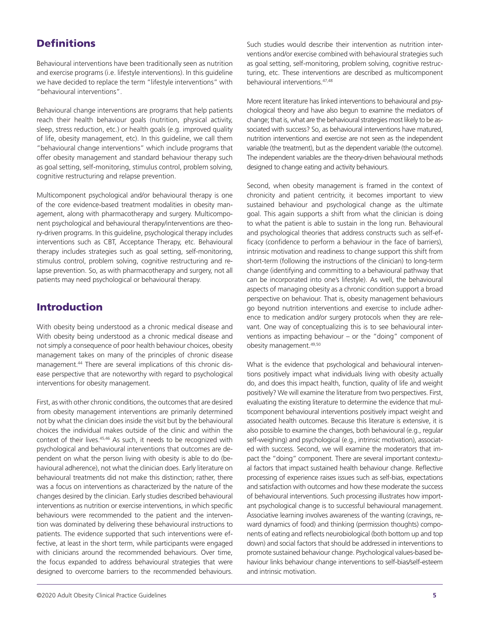# **Definitions**

Behavioural interventions have been traditionally seen as nutrition and exercise programs (i.e. lifestyle interventions). In this guideline we have decided to replace the term "lifestyle interventions" with "behavioural interventions".

Behavioural change interventions are programs that help patients reach their health behaviour goals (nutrition, physical activity, sleep, stress reduction, etc.) or health goals (e.g. improved quality of life, obesity management, etc). In this guideline, we call them "behavioural change interventions" which include programs that offer obesity management and standard behaviour therapy such as goal setting, self-monitoring, stimulus control, problem solving, cognitive restructuring and relapse prevention.

Multicomponent psychological and/or behavioural therapy is one of the core evidence-based treatment modalities in obesity management, along with pharmacotherapy and surgery. Multicomponent psychological and behavioural therapy/interventions are theory-driven programs. In this guideline, psychological therapy includes interventions such as CBT, Acceptance Therapy, etc. Behavioural therapy includes strategies such as goal setting, self-monitoring, stimulus control, problem solving, cognitive restructuring and relapse prevention. So, as with pharmacotherapy and surgery, not all patients may need psychological or behavioural therapy.

#### Introduction

With obesity being understood as a chronic medical disease and With obesity being understood as a chronic medical disease and not simply a consequence of poor health behaviour choices, obesity management takes on many of the principles of chronic disease management.44 There are several implications of this chronic disease perspective that are noteworthy with regard to psychological interventions for obesity management.

First, as with other chronic conditions, the outcomes that are desired from obesity management interventions are primarily determined not by what the clinician does inside the visit but by the behavioural choices the individual makes outside of the clinic and within the context of their lives.<sup>45,46</sup> As such, it needs to be recognized with psychological and behavioural interventions that outcomes are dependent on what the person living with obesity is able to do (behavioural adherence), not what the clinician does. Early literature on behavioural treatments did not make this distinction; rather, there was a focus on interventions as characterized by the nature of the changes desired by the clinician. Early studies described behavioural interventions as nutrition or exercise interventions, in which specific behaviours were recommended to the patient and the intervention was dominated by delivering these behavioural instructions to patients. The evidence supported that such interventions were effective, at least in the short term, while participants were engaged with clinicians around the recommended behaviours. Over time, the focus expanded to address behavioural strategies that were designed to overcome barriers to the recommended behaviours.

More recent literature has linked interventions to behavioural and psychological theory and have also begun to examine the mediators of change; that is, what are the behavioural strategies most likely to be associated with success? So, as behavioural interventions have matured, nutrition interventions and exercise are not seen as the independent variable (the treatment), but as the dependent variable (the outcome). The independent variables are the theory-driven behavioural methods designed to change eating and activity behaviours.

Second, when obesity management is framed in the context of chronicity and patient centricity, it becomes important to view sustained behaviour and psychological change as the ultimate goal. This again supports a shift from what the clinician is doing to what the patient is able to sustain in the long run. Behavioural and psychological theories that address constructs such as self-efficacy (confidence to perform a behaviour in the face of barriers), intrinsic motivation and readiness to change support this shift from short-term (following the instructions of the clinician) to long-term change (identifying and committing to a behavioural pathway that can be incorporated into one's lifestyle). As well, the behavioural aspects of managing obesity as a chronic condition support a broad perspective on behaviour. That is, obesity management behaviours go beyond nutrition interventions and exercise to include adherence to medication and/or surgery protocols when they are relevant. One way of conceptualizing this is to see behavioural interventions as impacting behaviour – or the "doing" component of obesity management.49,50

What is the evidence that psychological and behavioural interventions positively impact what individuals living with obesity actually do, and does this impact health, function, quality of life and weight positively? We will examine the literature from two perspectives. First, evaluating the existing literature to determine the evidence that multicomponent behavioural interventions positively impact weight and associated health outcomes. Because this literature is extensive, it is also possible to examine the changes, both behavioural (e.g., regular self-weighing) and psychological (e.g., intrinsic motivation), associated with success. Second, we will examine the moderators that impact the "doing" component. There are several important contextual factors that impact sustained health behaviour change. Reflective processing of experience raises issues such as self-bias, expectations and satisfaction with outcomes and how these moderate the success of behavioural interventions. Such processing illustrates how important psychological change is to successful behavioural management. Associative learning involves awareness of the wanting (cravings, reward dynamics of food) and thinking (permission thoughts) components of eating and reflects neurobiological (both bottom up and top down) and social factors that should be addressed in interventions to promote sustained behaviour change. Psychological values-based behaviour links behaviour change interventions to self-bias/self-esteem and intrinsic motivation.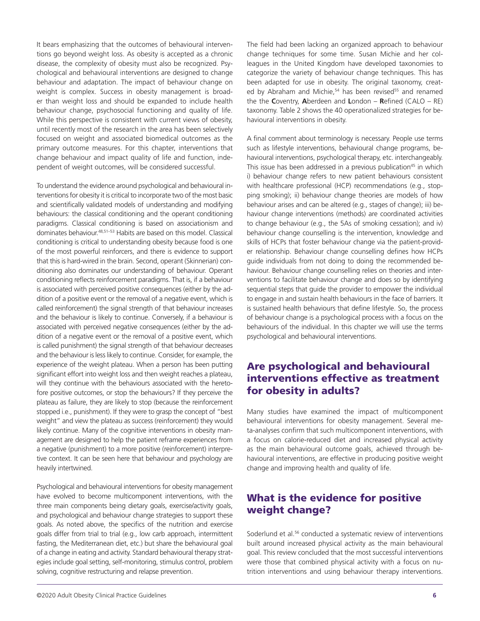It bears emphasizing that the outcomes of behavioural interventions go beyond weight loss. As obesity is accepted as a chronic disease, the complexity of obesity must also be recognized. Psychological and behavioural interventions are designed to change behaviour and adaptation. The impact of behaviour change on weight is complex. Success in obesity management is broader than weight loss and should be expanded to include health behaviour change, psychosocial functioning and quality of life. While this perspective is consistent with current views of obesity, until recently most of the research in the area has been selectively focused on weight and associated biomedical outcomes as the primary outcome measures. For this chapter, interventions that change behaviour and impact quality of life and function, independent of weight outcomes, will be considered successful.

To understand the evidence around psychological and behavioural interventions for obesity it is critical to incorporate two of the most basic and scientifically validated models of understanding and modifying behaviours: the classical conditioning and the operant conditioning paradigms. Classical conditioning is based on associationism and dominates behaviour.48,51–53 Habits are based on this model. Classical conditioning is critical to understanding obesity because food is one of the most powerful reinforcers, and there is evidence to support that this is hard-wired in the brain. Second, operant (Skinnerian) conditioning also dominates our understanding of behaviour. Operant conditioning reflects reinforcement paradigms. That is, if a behaviour is associated with perceived positive consequences (either by the addition of a positive event or the removal of a negative event, which is called reinforcement) the signal strength of that behaviour increases and the behaviour is likely to continue. Conversely, if a behaviour is associated with perceived negative consequences (either by the addition of a negative event or the removal of a positive event, which is called punishment) the signal strength of that behaviour decreases and the behaviour is less likely to continue. Consider, for example, the experience of the weight plateau. When a person has been putting significant effort into weight loss and then weight reaches a plateau, will they continue with the behaviours associated with the heretofore positive outcomes, or stop the behaviours? If they perceive the plateau as failure, they are likely to stop (because the reinforcement stopped i.e., punishment). If they were to grasp the concept of "best weight" and view the plateau as success (reinforcement) they would likely continue. Many of the cognitive interventions in obesity management are designed to help the patient reframe experiences from a negative (punishment) to a more positive (reinforcement) interpretive context. It can be seen here that behaviour and psychology are heavily intertwined.

Psychological and behavioural interventions for obesity management have evolved to become multicomponent interventions, with the three main components being dietary goals, exercise/activity goals, and psychological and behaviour change strategies to support these goals. As noted above, the specifics of the nutrition and exercise goals differ from trial to trial (e.g., low carb approach, intermittent fasting, the Mediterranean diet, etc.) but share the behavioural goal of a change in eating and activity. Standard behavioural therapy strategies include goal setting, self-monitoring, stimulus control, problem solving, cognitive restructuring and relapse prevention.

The field had been lacking an organized approach to behaviour change techniques for some time. Susan Michie and her colleagues in the United Kingdom have developed taxonomies to categorize the variety of behaviour change techniques. This has been adapted for use in obesity. The original taxonomy, created by Abraham and Michie,<sup>54</sup> has been revised<sup>55</sup> and renamed the the **C**oventry, **A**berdeen and **L**ondon – **R**efined (CALO – RE) taxonomy. Table 2 shows the 40 operationalized strategies for behavioural interventions in obesity.

A final comment about terminology is necessary. People use terms such as lifestyle interventions, behavioural change programs, behavioural interventions, psychological therapy, etc. interchangeably. This issue has been addressed in a previous publication<sup>45</sup> in which i) behaviour change refers to new patient behaviours consistent with healthcare professional (HCP) recommendations (e.g., stopping smoking); ii) behaviour change theories are models of how behaviour arises and can be altered (e.g., stages of change); iii) behaviour change interventions (methods) are coordinated activities to change behaviour (e.g., the 5As of smoking cessation); and iv) behaviour change counselling is the intervention, knowledge and skills of HCPs that foster behaviour change via the patient-provider relationship. Behaviour change counselling defines how HCPs guide individuals from not doing to doing the recommended behaviour. Behaviour change counselling relies on theories and interventions to facilitate behaviour change and does so by identifying sequential steps that guide the provider to empower the individual to engage in and sustain health behaviours in the face of barriers. It is sustained health behaviours that define lifestyle. So, the process of behaviour change is a psychological process with a focus on the behaviours of the individual. In this chapter we will use the terms psychological and behavioural interventions.

#### Are psychological and behavioural interventions effective as treatment for obesity in adults?

Many studies have examined the impact of multicomponent behavioural interventions for obesity management. Several meta-analyses confirm that such multicomponent interventions, with a focus on calorie-reduced diet and increased physical activity as the main behavioural outcome goals, achieved through behavioural interventions, are effective in producing positive weight change and improving health and quality of life.

# What is the evidence for positive weight change?

Soderlund et al.<sup>56</sup> conducted a systematic review of interventions built around increased physical activity as the main behavioural goal. This review concluded that the most successful interventions were those that combined physical activity with a focus on nutrition interventions and using behaviour therapy interventions.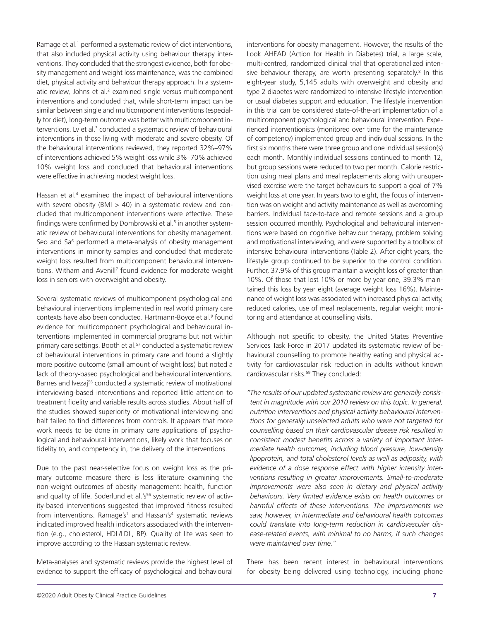Ramage et al.<sup>1</sup> performed a systematic review of diet interventions, that also included physical activity using behaviour therapy interventions. They concluded that the strongest evidence, both for obesity management and weight loss maintenance, was the combined diet, physical activity and behaviour therapy approach. In a systematic review, Johns et al.<sup>2</sup> examined single versus multicomponent interventions and concluded that, while short-term impact can be similar between single and multicomponent interventions (especially for diet), long-term outcome was better with multicomponent interventions. Ly et al.<sup>3</sup> conducted a systematic review of behavioural interventions in those living with moderate and severe obesity. Of the behavioural interventions reviewed, they reported 32%–97% of interventions achieved 5% weight loss while 3%–70% achieved 10% weight loss and concluded that behavioural interventions were effective in achieving modest weight loss.

Hassan et al.<sup>4</sup> examined the impact of behavioural interventions with severe obesity (BMI  $>$  40) in a systematic review and concluded that multicomponent interventions were effective. These findings were confirmed by Dombrowski et al.<sup>5</sup> in another systematic review of behavioural interventions for obesity management. Seo and Sa<sup>6</sup> performed a meta-analysis of obesity management interventions in minority samples and concluded that moderate weight loss resulted from multicomponent behavioural interventions. Witham and Avenill<sup>7</sup> found evidence for moderate weight loss in seniors with overweight and obesity.

Several systematic reviews of multicomponent psychological and behavioural interventions implemented in real world primary care contexts have also been conducted. Hartmann-Boyce et al.<sup>9</sup> found evidence for multicomponent psychological and behavioural interventions implemented in commercial programs but not within primary care settings. Booth et al.<sup>57</sup> conducted a systematic review of behavioural interventions in primary care and found a slightly more positive outcome (small amount of weight loss) but noted a lack of theory-based psychological and behavioural interventions. Barnes and Ivezaj<sup>58</sup> conducted a systematic review of motivational interviewing-based interventions and reported little attention to treatment fidelity and variable results across studies. About half of the studies showed superiority of motivational interviewing and half failed to find differences from controls. It appears that more work needs to be done in primary care applications of psychological and behavioural interventions, likely work that focuses on fidelity to, and competency in, the delivery of the interventions.

Due to the past near-selective focus on weight loss as the primary outcome measure there is less literature examining the non-weight outcomes of obesity management: health, function and quality of life. Soderlund et al.'s<sup>56</sup> systematic review of activity-based interventions suggested that improved fitness resulted from interventions. Ramage's<sup>1</sup> and Hassan's<sup>4</sup> systematic reviews indicated improved health indicators associated with the intervention (e.g., cholesterol, HDL/LDL, BP). Quality of life was seen to improve according to the Hassan systematic review.

Meta-analyses and systematic reviews provide the highest level of evidence to support the efficacy of psychological and behavioural

interventions for obesity management. However, the results of the Look AHEAD (Action for Health in Diabetes) trial, a large scale, multi-centred, randomized clinical trial that operationalized intensive behaviour therapy, are worth presenting separately.<sup>8</sup> In this eight-year study, 5,145 adults with overweight and obesity and type 2 diabetes were randomized to intensive lifestyle intervention or usual diabetes support and education. The lifestyle intervention in this trial can be considered state-of-the-art implementation of a multicomponent psychological and behavioural intervention. Experienced interventionists (monitored over time for the maintenance of competency) implemented group and individual sessions. In the first six months there were three group and one individual session(s) each month. Monthly individual sessions continued to month 12, but group sessions were reduced to two per month. Calorie restriction using meal plans and meal replacements along with unsupervised exercise were the target behaviours to support a goal of 7% weight loss at one year. In years two to eight, the focus of intervention was on weight and activity maintenance as well as overcoming barriers. Individual face-to-face and remote sessions and a group session occurred monthly. Psychological and behavioural interventions were based on cognitive behaviour therapy, problem solving and motivational interviewing, and were supported by a toolbox of intensive behavioural interventions (Table 2). After eight years, the lifestyle group continued to be superior to the control condition. Further, 37.9% of this group maintain a weight loss of greater than 10%. Of those that lost 10% or more by year one, 39.3% maintained this loss by year eight (average weight loss 16%). Maintenance of weight loss was associated with increased physical activity, reduced calories, use of meal replacements, regular weight monitoring and attendance at counselling visits.

Although not specific to obesity, the United States Preventive Services Task Force in 2017 updated its systematic review of behavioural counselling to promote healthy eating and physical activity for cardiovascular risk reduction in adults without known cardiovascular risks.<sup>59</sup> They concluded:

*"The results of our updated systematic review are generally consistent in magnitude with our 2010 review on this topic. In general, nutrition interventions and physical activity behavioural interventions for generally unselected adults who were not targeted for counselling based on their cardiovascular disease risk resulted in consistent modest benefits across a variety of important intermediate health outcomes, including blood pressure, low-density lipoprotein, and total cholesterol levels as well as adiposity, with evidence of a dose response effect with higher intensity interventions resulting in greater improvements. Small-to-moderate improvements were also seen in dietary and physical activity behaviours. Very limited evidence exists on health outcomes or harmful effects of these interventions. The improvements we saw, however, in intermediate and behavioural health outcomes could translate into long-term reduction in cardiovascular disease-related events, with minimal to no harms, if such changes were maintained over time."*

There has been recent interest in behavioural interventions for obesity being delivered using technology, including phone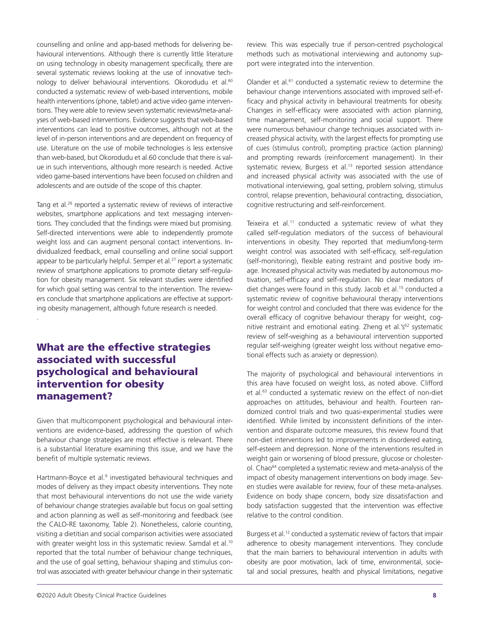counselling and online and app-based methods for delivering behavioural interventions. Although there is currently little literature on using technology in obesity management specifically, there are several systematic reviews looking at the use of innovative technology to deliver behavioural interventions. Okorodudu et al.<sup>60</sup> conducted a systematic review of web-based interventions, mobile health interventions (phone, tablet) and active video game interventions. They were able to review seven systematic reviews/meta-analyses of web-based interventions. Evidence suggests that web-based interventions can lead to positive outcomes, although not at the level of in-person interventions and are dependent on frequency of use. Literature on the use of mobile technologies is less extensive than web-based, but Okorodudu et al.60 conclude that there is value in such interventions, although more research is needed. Active video game-based interventions have been focused on children and adolescents and are outside of the scope of this chapter.

Tang et al.<sup>26</sup> reported a systematic review of reviews of interactive websites, smartphone applications and text messaging interventions. They concluded that the findings were mixed but promising. Self-directed interventions were able to independently promote weight loss and can augment personal contact interventions. Individualized feedback, email counselling and online social support appear to be particularly helpful. Semper et al.<sup>27</sup> report a systematic review of smartphone applications to promote dietary self-regulation for obesity management. Six relevant studies were identified for which goal setting was central to the intervention. The reviewers conclude that smartphone applications are effective at supporting obesity management, although future research is needed.

# What are the effective strategies associated with successful psychological and behavioural intervention for obesity management?

.

Given that multicomponent psychological and behavioural interventions are evidence-based, addressing the question of which behaviour change strategies are most effective is relevant. There is a substantial literature examining this issue, and we have the benefit of multiple systematic reviews.

Hartmann-Boyce et al.<sup>9</sup> investigated behavioural techniques and modes of delivery as they impact obesity interventions. They note that most behavioural interventions do not use the wide variety of behaviour change strategies available but focus on goal setting and action planning as well as self-monitoring and feedback (see the CALO-RE taxonomy, Table 2). Nonetheless, calorie counting, visiting a dietitian and social comparison activities were associated with greater weight loss in this systematic review. Samdal et al.<sup>10</sup> reported that the total number of behaviour change techniques, and the use of goal setting, behaviour shaping and stimulus control was associated with greater behaviour change in their systematic

review. This was especially true if person-centred psychological methods such as motivational interviewing and autonomy support were integrated into the intervention.

Olander et al.<sup>61</sup> conducted a systematic review to determine the behaviour change interventions associated with improved self-efficacy and physical activity in behavioural treatments for obesity. Changes in self-efficacy were associated with action planning, time management, self-monitoring and social support. There were numerous behaviour change techniques associated with increased physical activity, with the largest effects for prompting use of cues (stimulus control), prompting practice (action planning) and prompting rewards (reinforcement management). In their systematic review, Burgess et al.<sup>13</sup> reported session attendance and increased physical activity was associated with the use of motivational interviewing, goal setting, problem solving, stimulus control, relapse prevention, behavioural contracting, dissociation, cognitive restructuring and self-reinforcement.

Teixeira et al.<sup>11</sup> conducted a systematic review of what they called self-regulation mediators of the success of behavioural interventions in obesity. They reported that medium/long-term weight control was associated with self-efficacy, self-regulation (self-monitoring), flexible eating restraint and positive body image. Increased physical activity was mediated by autonomous motivation, self-efficacy and self-regulation. No clear mediators of diet changes were found in this study. Jacob et al.<sup>15</sup> conducted a systematic review of cognitive behavioural therapy interventions for weight control and concluded that there was evidence for the overall efficacy of cognitive behaviour therapy for weight, cognitive restraint and emotional eating. Zheng et al.'s<sup>62</sup> systematic review of self-weighing as a behavioural intervention supported regular self-weighing (greater weight loss without negative emotional effects such as anxiety or depression).

The majority of psychological and behavioural interventions in this area have focused on weight loss, as noted above. Clifford et al.<sup>63</sup> conducted a systematic review on the effect of non-diet approaches on attitudes, behaviour and health. Fourteen randomized control trials and two quasi-experimental studies were identified. While limited by inconsistent definitions of the intervention and disparate outcome measures, this review found that non-diet interventions led to improvements in disordered eating, self-esteem and depression. None of the interventions resulted in weight gain or worsening of blood pressure, glucose or cholesterol. Chao<sup>64</sup> completed a systematic review and meta-analysis of the impact of obesity management interventions on body image. Seven studies were available for review, four of these meta-analyses. Evidence on body shape concern, body size dissatisfaction and body satisfaction suggested that the intervention was effective relative to the control condition.

Burgess et al.<sup>12</sup> conducted a systematic review of factors that impair adherence to obesity management interventions. They conclude that the main barriers to behavioural intervention in adults with obesity are poor motivation, lack of time, environmental, societal and social pressures, health and physical limitations, negative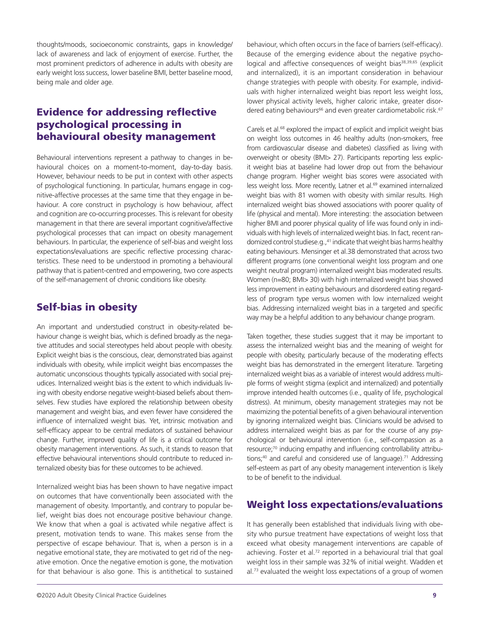thoughts/moods, socioeconomic constraints, gaps in knowledge/ lack of awareness and lack of enjoyment of exercise. Further, the most prominent predictors of adherence in adults with obesity are early weight loss success, lower baseline BMI, better baseline mood, being male and older age.

# Evidence for addressing reflective psychological processing in behavioural obesity management

Behavioural interventions represent a pathway to changes in behavioural choices on a moment-to-moment, day-to-day basis. However, behaviour needs to be put in context with other aspects of psychological functioning. In particular, humans engage in cognitive-affective processes at the same time that they engage in behaviour. A core construct in psychology is how behaviour, affect and cognition are co-occurring processes. This is relevant for obesity management in that there are several important cognitive/affective psychological processes that can impact on obesity management behaviours. In particular, the experience of self-bias and weight loss expectations/evaluations are specific reflective processing characteristics. These need to be understood in promoting a behavioural pathway that is patient-centred and empowering, two core aspects of the self-management of chronic conditions like obesity.

#### Self-bias in obesity

An important and understudied construct in obesity-related behaviour change is weight bias, which is defined broadly as the negative attitudes and social stereotypes held about people with obesity. Explicit weight bias is the conscious, clear, demonstrated bias against individuals with obesity, while implicit weight bias encompasses the automatic unconscious thoughts typically associated with social prejudices. Internalized weight bias is the extent to which individuals living with obesity endorse negative weight-biased beliefs about themselves. Few studies have explored the relationship between obesity management and weight bias, and even fewer have considered the influence of internalized weight bias. Yet, intrinsic motivation and self-efficacy appear to be central mediators of sustained behaviour change. Further, improved quality of life is a critical outcome for obesity management interventions. As such, it stands to reason that effective behavioural interventions should contribute to reduced internalized obesity bias for these outcomes to be achieved.

Internalized weight bias has been shown to have negative impact on outcomes that have conventionally been associated with the management of obesity. Importantly, and contrary to popular belief, weight bias does not encourage positive behaviour change. We know that when a goal is activated while negative affect is present, motivation tends to wane. This makes sense from the perspective of escape behaviour. That is, when a person is in a negative emotional state, they are motivated to get rid of the negative emotion. Once the negative emotion is gone, the motivation for that behaviour is also gone. This is antithetical to sustained

behaviour, which often occurs in the face of barriers (self-efficacy). Because of the emerging evidence about the negative psychological and affective consequences of weight bias<sup>38,39,65</sup> (explicit and internalized), it is an important consideration in behaviour change strategies with people with obesity. For example, individuals with higher internalized weight bias report less weight loss, lower physical activity levels, higher caloric intake, greater disordered eating behaviours<sup>66</sup> and even greater cardiometabolic risk.<sup>67</sup>

Carels et al.68 explored the impact of explicit and implicit weight bias on weight loss outcomes in 46 healthy adults (non-smokers, free from cardiovascular disease and diabetes) classified as living with overweight or obesity (BMI> 27). Participants reporting less explicit weight bias at baseline had lower drop out from the behaviour change program. Higher weight bias scores were associated with less weight loss. More recently, Latner et al.<sup>69</sup> examined internalized weight bias with 81 women with obesity with similar results. High internalized weight bias showed associations with poorer quality of life (physical and mental). More interesting: the association between higher BMI and poorer physical quality of life was found only in individuals with high levels of internalized weight bias. In fact, recent randomized control studiese.g.,<sup>41</sup> indicate that weight bias harms healthy eating behaviours. Mensinger et al.38 demonstrated that across two different programs (one conventional weight loss program and one weight neutral program) internalized weight bias moderated results. Women (n=80; BMI> 30) with high internalized weight bias showed less improvement in eating behaviours and disordered eating regardless of program type versus women with low internalized weight bias. Addressing internalized weight bias in a targeted and specific way may be a helpful addition to any behaviour change program.

Taken together, these studies suggest that it may be important to assess the internalized weight bias and the meaning of weight for people with obesity, particularly because of the moderating effects weight bias has demonstrated in the emergent literature. Targeting internalized weight bias as a variable of interest would address multiple forms of weight stigma (explicit and internalized) and potentially improve intended health outcomes (i.e., quality of life, psychological distress). At minimum, obesity management strategies may not be maximizing the potential benefits of a given behavioural intervention by ignoring internalized weight bias. Clinicians would be advised to address internalized weight bias as par for the course of any psychological or behavioural intervention (i.e., self-compassion as a resource;<sup>70</sup> inducing empathy and influencing controllability attributions;<sup>40</sup> and careful and considered use of language).<sup>71</sup> Addressing self-esteem as part of any obesity management intervention is likely to be of benefit to the individual.

# Weight loss expectations/evaluations

It has generally been established that individuals living with obesity who pursue treatment have expectations of weight loss that exceed what obesity management interventions are capable of achieving. Foster et al.<sup>72</sup> reported in a behavioural trial that goal weight loss in their sample was 32% of initial weight. Wadden et al.<sup>73</sup> evaluated the weight loss expectations of a group of women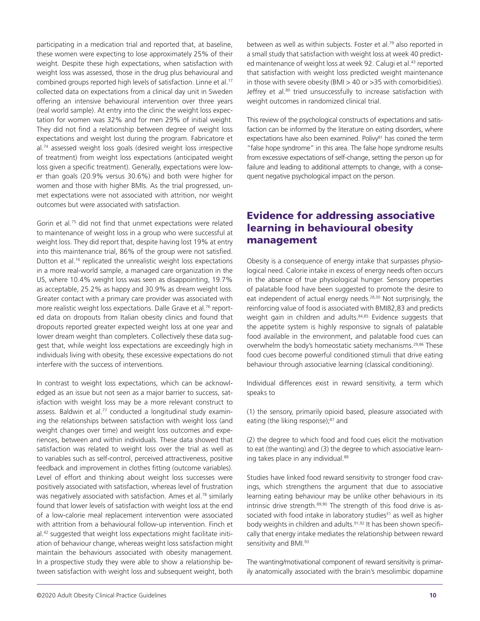participating in a medication trial and reported that, at baseline, these women were expecting to lose approximately 25% of their weight. Despite these high expectations, when satisfaction with weight loss was assessed, those in the drug plus behavioural and combined groups reported high levels of satisfaction. Linne et al.<sup>17</sup> collected data on expectations from a clinical day unit in Sweden offering an intensive behavioural intervention over three years (real world sample). At entry into the clinic the weight loss expectation for women was 32% and for men 29% of initial weight. They did not find a relationship between degree of weight loss expectations and weight lost during the program. Fabricatore et al.74 assessed weight loss goals (desired weight loss irrespective of treatment) from weight loss expectations (anticipated weight loss given a specific treatment). Generally, expectations were lower than goals (20.9% versus 30.6%) and both were higher for women and those with higher BMIs. As the trial progressed, unmet expectations were not associated with attrition, nor weight outcomes but were associated with satisfaction.

Gorin et al.75 did not find that unmet expectations were related to maintenance of weight loss in a group who were successful at weight loss. They did report that, despite having lost 19% at entry into this maintenance trial, 86% of the group were not satisfied. Dutton et al.<sup>16</sup> replicated the unrealistic weight loss expectations in a more real-world sample, a managed care organization in the US, where 10.4% weight loss was seen as disappointing, 19.7% as acceptable, 25.2% as happy and 30.9% as dream weight loss. Greater contact with a primary care provider was associated with more realistic weight loss expectations. Dalle Grave et al.<sup>76</sup> reported data on dropouts from Italian obesity clinics and found that dropouts reported greater expected weight loss at one year and lower dream weight than completers. Collectively these data suggest that, while weight loss expectations are exceedingly high in individuals living with obesity, these excessive expectations do not interfere with the success of interventions.

In contrast to weight loss expectations, which can be acknowledged as an issue but not seen as a major barrier to success, satisfaction with weight loss may be a more relevant construct to assess. Baldwin et al.<sup>77</sup> conducted a longitudinal study examining the relationships between satisfaction with weight loss (and weight changes over time) and weight loss outcomes and experiences, between and within individuals. These data showed that satisfaction was related to weight loss over the trial as well as to variables such as self-control, perceived attractiveness, positive feedback and improvement in clothes fitting (outcome variables). Level of effort and thinking about weight loss successes were positively associated with satisfaction, whereas level of frustration was negatively associated with satisfaction. Ames et al.<sup>78</sup> similarly found that lower levels of satisfaction with weight loss at the end of a low-calorie meal replacement intervention were associated with attrition from a behavioural follow-up intervention. Finch et al.42 suggested that weight loss expectations might facilitate initiation of behaviour change, whereas weight loss satisfaction might maintain the behaviours associated with obesity management. In a prospective study they were able to show a relationship between satisfaction with weight loss and subsequent weight, both

between as well as within subjects. Foster et al.<sup>79</sup> also reported in a small study that satisfaction with weight loss at week 40 predicted maintenance of weight loss at week 92. Calugi et al.<sup>43</sup> reported that satisfaction with weight loss predicted weight maintenance in those with severe obesity (BMI > 40 or >35 with comorbidities). Jeffrey et al.<sup>80</sup> tried unsuccessfully to increase satisfaction with weight outcomes in randomized clinical trial.

This review of the psychological constructs of expectations and satisfaction can be informed by the literature on eating disorders, where expectations have also been examined. Polivy<sup>81</sup> has coined the term "false hope syndrome" in this area. The false hope syndrome results from excessive expectations of self-change, setting the person up for failure and leading to additional attempts to change, with a consequent negative psychological impact on the person.

# Evidence for addressing associative learning in behavioural obesity management

Obesity is a consequence of energy intake that surpasses physiological need. Calorie intake in excess of energy needs often occurs in the absence of true physiological hunger. Sensory properties of palatable food have been suggested to promote the desire to eat independent of actual energy needs.<sup>28,30</sup> Not surprisingly, the reinforcing value of food is associated with BMI82,83 and predicts weight gain in children and adults.<sup>84,85</sup> Evidence suggests that the appetite system is highly responsive to signals of palatable food available in the environment, and palatable food cues can overwhelm the body's homeostatic satiety mechanisms.<sup>29,86</sup> These food cues become powerful conditioned stimuli that drive eating behaviour through associative learning (classical conditioning).

Individual differences exist in reward sensitivity, a term which speaks to

(1) the sensory, primarily opioid based, pleasure associated with eating (the liking response);<sup>87</sup> and

(2) the degree to which food and food cues elicit the motivation to eat (the wanting) and (3) the degree to which associative learning takes place in any individual.<sup>88</sup>

Studies have linked food reward sensitivity to stronger food cravings, which strengthens the argument that due to associative learning eating behaviour may be unlike other behaviours in its intrinsic drive strength.89,90 The strength of this food drive is associated with food intake in laboratory studies<sup>31</sup> as well as higher body weights in children and adults.<sup>91,92</sup> It has been shown specifically that energy intake mediates the relationship between reward sensitivity and BMI.93

The wanting/motivational component of reward sensitivity is primarily anatomically associated with the brain's mesolimbic dopamine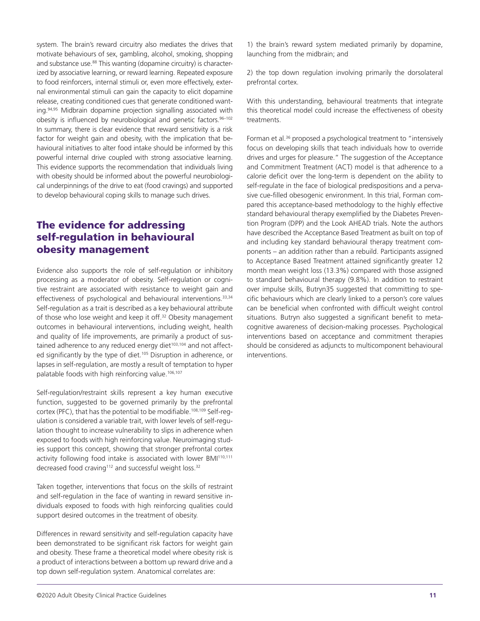system. The brain's reward circuitry also mediates the drives that motivate behaviours of sex, gambling, alcohol, smoking, shopping and substance use.<sup>88</sup> This wanting (dopamine circuitry) is characterized by associative learning, or reward learning. Repeated exposure to food reinforcers, internal stimuli or, even more effectively, external environmental stimuli can gain the capacity to elicit dopamine release, creating conditioned cues that generate conditioned wanting.<sup>94,95</sup> Midbrain dopamine projection signalling associated with obesity is influenced by neurobiological and genetic factors.<sup>96-102</sup> In summary, there is clear evidence that reward sensitivity is a risk factor for weight gain and obesity, with the implication that behavioural initiatives to alter food intake should be informed by this powerful internal drive coupled with strong associative learning. This evidence supports the recommendation that individuals living with obesity should be informed about the powerful neurobiological underpinnings of the drive to eat (food cravings) and supported to develop behavioural coping skills to manage such drives.

## The evidence for addressing self-regulation in behavioural obesity management

Evidence also supports the role of self-regulation or inhibitory processing as a moderator of obesity. Self-regulation or cognitive restraint are associated with resistance to weight gain and effectiveness of psychological and behavioural interventions.<sup>33,34</sup> Self-regulation as a trait is described as a key behavioural attribute of those who lose weight and keep it off.<sup>32</sup> Obesity management outcomes in behavioural interventions, including weight, health and quality of life improvements, are primarily a product of sustained adherence to any reduced energy diet<sup>103,104</sup> and not affected significantly by the type of diet.<sup>105</sup> Disruption in adherence, or lapses in self-regulation, are mostly a result of temptation to hyper palatable foods with high reinforcing value.<sup>106,107</sup>

Self-regulation/restraint skills represent a key human executive function, suggested to be governed primarily by the prefrontal cortex (PFC), that has the potential to be modifiable.<sup>108,109</sup> Self-requlation is considered a variable trait, with lower levels of self-regulation thought to increase vulnerability to slips in adherence when exposed to foods with high reinforcing value. Neuroimaging studies support this concept, showing that stronger prefrontal cortex activity following food intake is associated with lower BMI<sup>110,111</sup> decreased food craving<sup>112</sup> and successful weight loss.<sup>32</sup>

Taken together, interventions that focus on the skills of restraint and self-regulation in the face of wanting in reward sensitive individuals exposed to foods with high reinforcing qualities could support desired outcomes in the treatment of obesity.

Differences in reward sensitivity and self-regulation capacity have been demonstrated to be significant risk factors for weight gain and obesity. These frame a theoretical model where obesity risk is a product of interactions between a bottom up reward drive and a top down self-regulation system. Anatomical correlates are:

1) the brain's reward system mediated primarily by dopamine, launching from the midbrain; and

2) the top down regulation involving primarily the dorsolateral prefrontal cortex.

With this understanding, behavioural treatments that integrate this theoretical model could increase the effectiveness of obesity treatments.

Forman et al.<sup>36</sup> proposed a psychological treatment to "intensively focus on developing skills that teach individuals how to override drives and urges for pleasure." The suggestion of the Acceptance and Commitment Treatment (ACT) model is that adherence to a calorie deficit over the long-term is dependent on the ability to self-regulate in the face of biological predispositions and a pervasive cue-filled obesogenic environment. In this trial, Forman compared this acceptance-based methodology to the highly effective standard behavioural therapy exemplified by the Diabetes Prevention Program (DPP) and the Look AHEAD trials. Note the authors have described the Acceptance Based Treatment as built on top of and including key standard behavioural therapy treatment components – an addition rather than a rebuild. Participants assigned to Acceptance Based Treatment attained significantly greater 12 month mean weight loss (13.3%) compared with those assigned to standard behavioural therapy (9.8%). In addition to restraint over impulse skills, Butryn35 suggested that committing to specific behaviours which are clearly linked to a person's core values can be beneficial when confronted with difficult weight control situations. Butryn also suggested a significant benefit to metacognitive awareness of decision-making processes. Psychological interventions based on acceptance and commitment therapies should be considered as adjuncts to multicomponent behavioural interventions.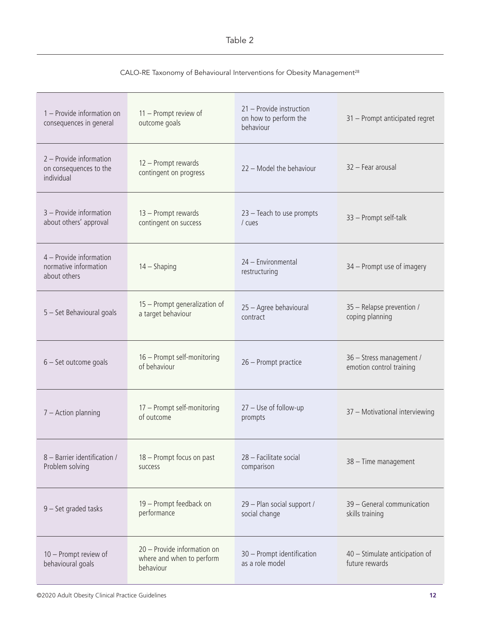#### Table 2

#### CALO-RE Taxonomy of Behavioural Interventions for Obesity Management<sup>28</sup>

| 1 - Provide information on<br>consequences in general            | 11 - Prompt review of<br>outcome goals                                | 21 - Provide instruction<br>on how to perform the<br>behaviour | 31 - Prompt anticipated regret                       |
|------------------------------------------------------------------|-----------------------------------------------------------------------|----------------------------------------------------------------|------------------------------------------------------|
| 2 - Provide information<br>on consequences to the<br>individual  | 12 - Prompt rewards<br>contingent on progress                         | 22 - Model the behaviour                                       | 32 - Fear arousal                                    |
| 3 - Provide information<br>about others' approval                | 13 - Prompt rewards<br>contingent on success                          | 23 - Teach to use prompts<br>/ cues                            | 33 - Prompt self-talk                                |
| 4 – Provide information<br>normative information<br>about others | $14 -$ Shaping                                                        | 24 - Environmental<br>restructuring                            | 34 - Prompt use of imagery                           |
| 5 - Set Behavioural goals                                        | 15 - Prompt generalization of<br>a target behaviour                   | 25 - Agree behavioural<br>contract                             | 35 - Relapse prevention /<br>coping planning         |
| $6 - Set outcome goals$                                          | 16 - Prompt self-monitoring<br>of behaviour                           | 26 - Prompt practice                                           | 36 - Stress management /<br>emotion control training |
| $7 -$ Action planning                                            | 17 - Prompt self-monitoring<br>of outcome                             | $27 -$ Use of follow-up<br>prompts                             | 37 - Motivational interviewing                       |
| 8 - Barrier identification /<br>Problem solving                  | 18 - Prompt focus on past<br>success                                  | 28 - Facilitate social<br>comparison                           | 38 - Time management                                 |
| 9 - Set graded tasks                                             | 19 - Prompt feedback on<br>performance                                | 29 - Plan social support /<br>social change                    | 39 - General communication<br>skills training        |
| 10 - Prompt review of<br>behavioural goals                       | 20 - Provide information on<br>where and when to perform<br>behaviour | 30 - Prompt identification<br>as a role model                  | 40 - Stimulate anticipation of<br>future rewards     |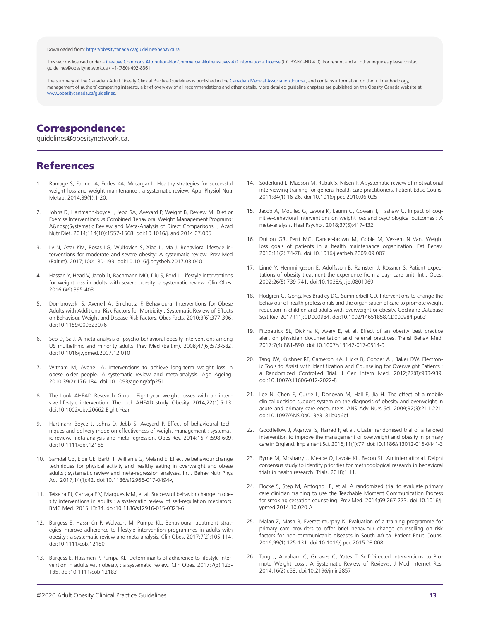#### Downloaded from:<https://obesitycanada.ca/guidelines/behavioural>

This work is licensed under a Creative Commons [Attribution-NonCommercial-NoDerivatives](https://creativecommons.org/licenses/by-nc-nd/4.0/) 4.0 International License (CC BY-NC-ND 4.0). For reprint and all other inquiries please contact guidelines@obesitynetwork.ca / +1-(780)-492-8361.

The summary of the Canadian Adult Obesity Clinical Practice Guidelines is published in the [Canadian Medical Association Journal,](https://www.cmaj.ca/lookup/doi/10.1503/cmaj.191707) and contains information on the full methodology, management of authors' competing interests, a brief overview of all recommendations and other details. More detailed guideline chapters are published on the Obesity Canada website at [www.obesitycanada.ca/guidelines.](https://obesitycanada.ca/guidelines)

# Correspondence:

guidelines@obesitynetwork.ca.

#### References

- 1. Ramage S, Farmer A, Eccles KA, Mccargar L. Healthy strategies for successful weight loss and weight maintenance : a systematic review. Appl Physiol Nutr Metab. 2014;39(1):1-20.
- 2. Johns D, Hartmann-boyce J, Jebb SA, Aveyard P, Weight B, Review M. Diet or Exercise Interventions vs Combined Behavioral Weight Management Programs: A&nbsp:Systematic Review and Meta-Analysis of Direct Comparisons. J Acad Nutr Diet. 2014;114(10):1557-1568. doi:10.1016/j.jand.2014.07.005
- 3. Lv N, Azar KM, Rosas LG, Wulfovich S, Xiao L, Ma J. Behavioral lifestyle interventions for moderate and severe obesity: A systematic review. Prev Med (Baltim). 2017;100:180-193. doi:10.1016/j.physbeh.2017.03.040
- 4. Hassan Y, Head V, Jacob D, Bachmann MO, Diu S, Ford J. Lifestyle interventions for weight loss in adults with severe obesity: a systematic review. Clin Obes. 2016;6(6):395-403.
- 5. Dombrowski S, Avenell A, Sniehotta F. Behavioural Interventions for Obese Adults with Additional Risk Factors for Morbidity : Systematic Review of Effects on Behaviour, Weight and Disease Risk Factors. Obes Facts. 2010;3(6):377-396. doi:10.1159/000323076
- 6. Seo D, Sa J. A meta-analysis of psycho-behavioral obesity interventions among US multiethnic and minority adults. Prev Med (Baltim). 2008;47(6):573-582. doi:10.1016/j.ypmed.2007.12.010
- 7. Witham M, Avenell A. Interventions to achieve long-term weight loss in obese older people. A systematic review and meta-analysis. Age Ageing. 2010;39(2):176-184. doi:10.1093/ageing/afp251
- 8. The Look AHEAD Research Group. Eight-year weight losses with an intensive lifestyle intervention: The look AHEAD study. Obesity. 2014;22(1):5-13. doi:10.1002/oby.20662.Eight-Year
- 9. Hartmann-Boyce J, Johns D, Jebb S, Aveyard P. Effect of behavioural techniques and delivery mode on effectiveness of weight management : systematic review, meta-analysis and meta-regression. Obes Rev. 2014;15(7):598-609. doi:10.1111/obr.12165
- 10. Samdal GB, Eide GE, Barth T, Williams G, Meland E. Effective behaviour change techniques for physical activity and healthy eating in overweight and obese adults ; systematic review and meta-regression analyses. Int J Behav Nutr Phys Act. 2017;14(1):42. doi:10.1186/s12966-017-0494-y
- 11. Teixeira PJ, Carraça E V, Marques MM, et al. Successful behavior change in obesity interventions in adults : a systematic review of self-regulation mediators. BMC Med. 2015;13:84. doi:10.1186/s12916-015-0323-6
- 12. Burgess E, Hassmén P, Welvaert M, Pumpa KL. Behavioural treatment strategies improve adherence to lifestyle intervention programmes in adults with obesity : a systematic review and meta-analysis. Clin Obes. 2017;7(2):105-114. doi:10.1111/cob.12180
- 13. Burgess E, Hassmén P, Pumpa KL. Determinants of adherence to lifestyle intervention in adults with obesity : a systematic review. Clin Obes. 2017;7(3):123- 135. doi:10.1111/cob.12183
- 14. Söderlund L, Madson M, Rubak S, Nilsen P. A systematic review of motivational interviewing training for general health care practitioners. Patient Educ Couns. 2011;84(1):16-26. doi:10.1016/j.pec.2010.06.025
- 15. Jacob A, Moullec G, Lavoie K, Laurin C, Cowan T, Tisshaw C. Impact of cognitive-behavioral interventions on weight loss and psychological outcomes : A meta-analysis. Heal Psychol. 2018;37(5):417-432.
- 16. Dutton GR, Perri MG, Dancer-brown M, Goble M, Vessem N Van. Weight loss goals of patients in a health maintenance organization. Eat Behav. 2010;11(2):74-78. doi:10.1016/j.eatbeh.2009.09.007
- 17. Linné Y, Hemmingsson E, Adolfsson B, Ramsten J, Rössner S. Patient expectations of obesity treatment-the experience from a day- care unit. Int J Obes. 2002;26(5):739-741. doi:10.1038/sj.ijo.0801969
- 18. Flodgren G, Gonçalves-Bradley DC, Summerbell CD. Interventions to change the behaviour of health professionals and the organisation of care to promote weight reduction in children and adults with overweight or obesity. Cochrane Database Syst Rev. 2017;(11):CD000984. doi:10.1002/14651858.CD000984.pub3
- 19. Fitzpatrick SL, Dickins K, Avery E, et al. Effect of an obesity best practice alert on physician documentation and referral practices. Transl Behav Med. 2017;7(4):881-890. doi:10.1007/s13142-017-0514-0
- 20. Tang JW, Kushner RF, Cameron KA, Hicks B, Cooper AJ, Baker DW. Electronic Tools to Assist with Identification and Counseling for Overweight Patients : a Randomized Controlled Trial. J Gen Intern Med. 2012;27(8):933-939. doi:10.1007/s11606-012-2022-8
- 21. Lee N, Chen E, Currie L, Donovan M, Hall E, Jia H. The effect of a mobile clinical decision support system on the diagnosis of obesity and overweight in acute and primary care encounters. ANS Adv Nurs Sci. 2009;32(3):211-221. doi:10.1097/ANS.0b013e3181b0d6bf
- 22. Goodfellow J, Agarwal S, Harrad F, et al. Cluster randomised trial of a tailored intervention to improve the management of overweight and obesity in primary care in England. Implement Sci. 2016;11(1):77. doi:10.1186/s13012-016-0441-3
- 23. Byrne M, Mcsharry J, Meade O, Lavoie KL, Bacon SL. An international, Delphi consensus study to identify priorities for methodological research in behavioral trials in health research. Trials. 2018;1:11.
- 24. Flocke S, Step M, Antognoli E, et al. A randomized trial to evaluate primary care clinician training to use the Teachable Moment Communication Process for smoking cessation counseling. Prev Med. 2014;69:267-273. doi:10.1016/j. ypmed.2014.10.020.A
- 25. Malan Z, Mash B, Everett-murphy K. Evaluation of a training programme for primary care providers to offer brief behaviour change counselling on risk factors for non-communicable diseases in South Africa. Patient Educ Couns. 2016;99(1):125-131. doi:10.1016/j.pec.2015.08.008
- 26. Tang J, Abraham C, Greaves C, Yates T. Self-Directed Interventions to Promote Weight Loss : A Systematic Review of Reviews. J Med Internet Res. 2014;16(2):e58. doi:10.2196/jmir.2857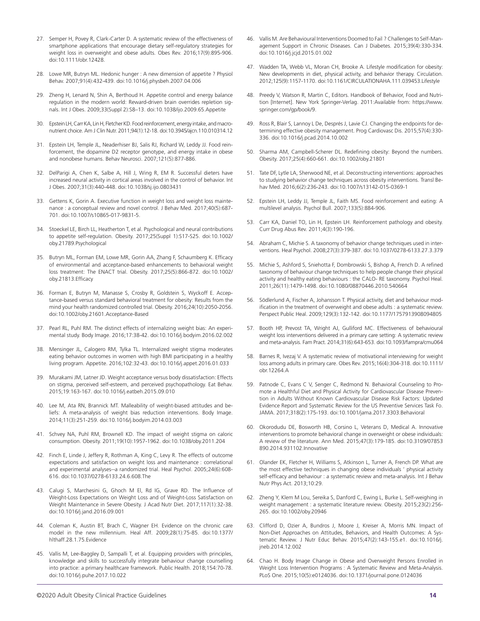- 27. Semper H, Povey R, Clark-Carter D. A systematic review of the effectiveness of smartphone applications that encourage dietary self-regulatory strategies for weight loss in overweight and obese adults. Obes Rev. 2016;17(9):895-906. doi:10.1111/obr.12428.
- 28. Lowe MR, Butryn ML. Hedonic hunger : A new dimension of appetite ? Physiol Behav. 2007;91(4):432-439. doi:10.1016/j.physbeh.2007.04.006
- 29. Zheng H, Lenard N, Shin A, Berthoud H. Appetite control and energy balance regulation in the modern world: Reward-driven brain overrides repletion signals. Int J Obes. 2009;33(Suppl 2):S8–13. doi:10.1038/ijo.2009.65.Appetite
- 30. Epstein LH, Carr KA, Lin H, Fletcher KD. Food reinforcement, energy intake, and macronutrient choice. Am J Clin Nutr. 2011;94(1):12-18. doi:10.3945/ajcn.110.010314.12
- 31. Epstein LH, Temple JL, Neaderhiser BJ, Salis RJ, Richard W, Leddy JJ. Food reinforcement, the dopamine D2 receptor genotype, and energy intake in obese and nonobese humans. Behav Neurosci. 2007;121(5):877-886.
- 32. DelParigi A, Chen K, Salbe A, Hill J, Wing R, EM R. Successful dieters have increased neural activity in cortical areas involved in the control of behavior. Int J Obes. 2007;31(3):440-448. doi:10.1038/sj.ijo.0803431
- 33. Gettens K, Gorin A. Executive function in weight loss and weight loss maintenance : a conceptual review and novel control. J Behav Med. 2017;40(5):687- 701. doi:10.1007/s10865-017-9831-5.
- 34. Stoeckel LE, Birch LL, Heatherton T, et al. Psychological and neural contributions to appetite self-regulation. Obesity. 2017;25(Suppl 1):S17-S25. doi:10.1002/ oby.21789.Psychological
- 35. Butryn ML, Forman EM, Lowe MR, Gorin AA, Zhang F, Schaumberg K. Efficacy of environmental and acceptance-based enhancements to behavioral weight loss treatment: The ENACT trial. Obesity. 2017;25(5):866-872. doi:10.1002/ oby.21813.Efficacy
- 36. Forman E, Butryn M, Manasse S, Crosby R, Goldstein S, Wyckoff E. Acceptance-based versus standard behavioral treatment for obesity: Results from the mind your health randomized controlled trial. Obesity. 2016;24(10):2050-2056. doi:10.1002/oby.21601.Acceptance-Based
- 37. Pearl RL, Puhl RM. The distinct effects of internalizing weight bias: An experimental study. Body Image. 2016;17:38-42. doi:10.1016/j.bodyim.2016.02.002
- 38. Mensinger JL, Calogero RM, Tylka TL. Internalized weight stigma moderates eating behavior outcomes in women with high BMI participating in a healthy living program. Appetite. 2016;102:32-43. doi:10.1016/j.appet.2016.01.033
- 39. Murakami JM, Latner JD. Weight acceptance versus body dissatisfaction: Effects on stigma, perceived self-esteem, and perceived psychopathology. Eat Behav. 2015;19:163-167. doi:10.1016/j.eatbeh.2015.09.010
- 40. Lee M, Ata RN, Brannick MT. Malleability of weight-biased attitudes and beliefs: A meta-analysis of weight bias reduction interventions. Body Image. 2014;11(3):251-259. doi:10.1016/j.bodyim.2014.03.003
- 41. Schvey NA, Puhl RM, Brownell KD. The impact of weight stigma on caloric consumption. Obesity. 2011;19(10):1957-1962. doi:10.1038/oby.2011.204
- 42. Finch E, Linde J, Jeffery R, Rothman A, King C, Levy R. The effects of outcome expectations and satisfaction on weight loss and maintenance : correlational and experimental analyses--a randomized trial. Heal Psychol. 2005;24(6):608- 616. doi:10.1037/0278-6133.24.6.608.The
- 43. Calugi S, Marchesini G, Ghoch M El, Rd IG, Grave RD. The Influence of Weight-Loss Expectations on Weight Loss and of Weight-Loss Satisfaction on Weight Maintenance in Severe Obesity. J Acad Nutr Diet. 2017;117(1):32-38. doi:10.1016/j.jand.2016.09.001
- 44. Coleman K, Austin BT, Brach C, Wagner EH. Evidence on the chronic care model in the new millennium. Heal Aff. 2009;28(1):75-85. doi:10.1377/ hlthaff.28.1.75.Evidence
- 45. Vallis M, Lee-Baggley D, Sampalli T, et al. Equipping providers with principles, knowledge and skills to successfully integrate behaviour change counselling into practice: a primary healthcare framework. Public Health. 2018;154:70-78. doi:10.1016/j.puhe.2017.10.022
- 46. Vallis M. Are Behavioural Interventions Doomed to Fail ? Challenges to Self-Management Support in Chronic Diseases. Can J Diabetes. 2015;39(4):330-334. doi:10.1016/j.jcjd.2015.01.002
- 47. Wadden TA, Webb VL, Moran CH, Brooke A. Lifestyle modification for obesity: New developments in diet, physical activity, and behavior therapy. Circulation. 2012;125(9):1157-1170. doi:10.1161/CIRCULATIONAHA.111.039453.Lifestyle
- 48. Preedy V, Watson R, Martin C, Editors. Handbook of Behavior, Food and Nutrition [Internet]. New York Springer-Verlag. 2011:Available from: https://www. springer.com/gp/book/9.
- 49. Ross R, Blair S, Lannoy L De, Després J, Lavie CJ. Changing the endpoints for determining effective obesity management. Prog Cardiovasc Dis. 2015;57(4):330- 336. doi:10.1016/j.pcad.2014.10.002
- 50. Sharma AM, Campbell-Scherer DL. Redefining obesity: Beyond the numbers. Obesity. 2017;25(4):660-661. doi:10.1002/oby.21801
- 51. Tate DF, Lytle LA, Sherwood NE, et al. Deconstructing interventions: approaches to studying behavior change techniques across obesity interventions. Transl Behav Med. 2016;6(2):236-243. doi:10.1007/s13142-015-0369-1
- 52. Epstein LH, Leddy JJ, Temple JL, Faith MS. Food reinforcement and eating: A multilevel analysis. Psychol Bull. 2007;133(5):884-906.
- 53. Carr KA, Daniel TO, Lin H, Epstein LH. Reinforcement pathology and obesity. Curr Drug Abus Rev. 2011;4(3):190-196.
- 54. Abraham C, Michie S. A taxonomy of behavior change techniques used in interventions. Heal Psychol. 2008;27(3):379-387. doi:10.1037/0278-6133.27.3.379
- 55. Michie S, Ashford S, Sniehotta F, Dombrowski S, Bishop A, French D. A refined taxonomy of behaviour change techniques to help people change their physical activity and healthy eating behaviours : the CALO- RE taxonomy. Psychol Heal. 2011;26(11):1479-1498. doi:10.1080/08870446.2010.540664
- 56. Södlerlund A, Fischer A, Johansson T. Physical activity, diet and behaviour modification in the treatment of overweight and obese adults : a systematic review. Perspect Public Heal. 2009;129(3):132-142. doi:10.1177/1757913908094805
- 57. Booth HP, Prevost TA, Wright AJ, Gulliford MC. Effectiveness of behavioural weight loss interventions delivered in a primary care setting: A systematic review and meta-analysis. Fam Pract. 2014;31(6):643-653. doi:10.1093/fampra/cmu064
- 58. Barnes R, Ivezaj V. A systematic review of motivational interviewing for weight loss among adults in primary care. Obes Rev. 2015;16(4):304-318. doi:10.1111/ obr.12264.A
- 59. Patnode C, Evans C V, Senger C, Redmond N. Behavioral Counseling to Promote a Healthful Diet and Physical Activity for Cardiovascular Disease Prevention in Adults Without Known Cardiovascular Disease Risk Factors: Updated Evidence Report and Systematic Review for the US Preventive Services Task Fo. JAMA. 2017;318(2):175-193. doi:10.1001/jama.2017.3303.Behavioral
- 60. Okorodudu DE, Bosworth HB, Corsino L, Veterans D, Medical A. Innovative interventions to promote behavioral change in overweight or obese individuals: A review of the literature. Ann Med. 2015;47(3):179-185. doi:10.3109/07853 890.2014.931102.Innovative
- 61. Olander EK, Fletcher H, Williams S, Atkinson L, Turner A, French DP. What are the most effective techniques in changing obese individuals ' physical activity self-efficacy and behaviour : a systematic review and meta-analysis. Int J Behav Nutr Phys Act. 2013;10:29.
- 62. Zheng Y, Klem M Lou, Sereika S, Danford C, Ewing L, Burke L. Self-weighing in weight management : a systematic literature review. Obesity. 2015;23(2):256- 265. doi:10.1002/oby.20946
- 63. Clifford D, Ozier A, Bundros J, Moore J, Kreiser A, Morris MN. Impact of Non-Diet Approaches on Attitudes, Behaviors, and Health Outcomes: A Systematic Review. J Nutr Educ Behav. 2015;47(2):143-155.e1. doi:10.1016/j. jneb.2014.12.002
- 64. Chao H. Body Image Change in Obese and Overweight Persons Enrolled in Weight Loss Intervention Programs : A Systematic Review and Meta-Analysis. PLoS One. 2015;10(5):e0124036. doi:10.1371/journal.pone.0124036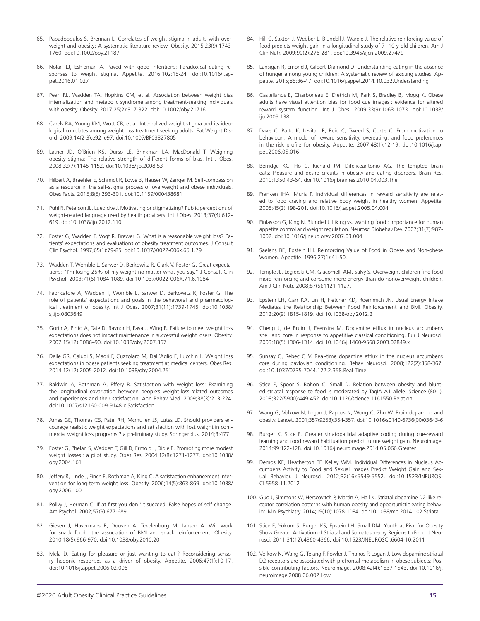- 65. Papadopoulos S, Brennan L. Correlates of weight stigma in adults with overweight and obesity: A systematic literature review. Obesity. 2015;23(9):1743- 1760. doi:10.1002/oby.21187
- 66. Nolan LJ, Eshleman A. Paved with good intentions: Paradoxical eating responses to weight stigma. Appetite. 2016;102:15-24. doi:10.1016/j.appet.2016.01.027
- 67. Pearl RL, Wadden TA, Hopkins CM, et al. Association between weight bias internalization and metabolic syndrome among treatment-seeking individuals with obesity. Obesity. 2017;25(2):317-322. doi:10.1002/oby.21716
- 68. Carels RA, Young KM, Wott CB, et al. Internalized weight stigma and its ideological correlates among weight loss treatment seeking adults. Eat Weight Disord. 2009;14(2-3):e92–e97. doi:10.1007/BF03327805
- 69. Latner JD, O'Brien KS, Durso LE, Brinkman LA, MacDonald T. Weighing obesity stigma: The relative strength of different forms of bias. Int J Obes. 2008;32(7):1145-1152. doi:10.1038/ijo.2008.53
- 70. Hilbert A, Braehler E, Schmidt R, Lowe B, Hauser W, Zenger M. Self-compassion as a resource in the self-stigma process of overweight and obese individuals. Obes Facts. 2015;8(5):293-301. doi:10.1159/000438681
- 71. Puhl R, Peterson JL, Luedicke J. Motivating or stigmatizing? Public perceptions of weight-related language used by health providers. Int J Obes. 2013;37(4):612- 619. doi:10.1038/ijo.2012.110
- 72. Foster G, Wadden T, Vogt R, Brewer G. What is a reasonable weight loss? Patients' expectations and evaluations of obesity treatment outcomes. J Consult Clin Psychol. 1997;65(1):79-85. doi:10.1037//0022-006x.65.1.79
- 73. Wadden T, Womble L, Sarwer D, Berkowitz R, Clark V, Foster G. Great expectations: "I'm losing 25% of my weight no matter what you say." J Consult Clin Psychol. 2003;71(6):1084-1089. doi:10.1037/0022-006X.71.6.1084
- 74. Fabricatore A, Wadden T, Womble L, Sarwer D, Berkowitz R, Foster G. The role of patients' expectations and goals in the behavioral and pharmacological treatment of obesity. Int J Obes. 2007;31(11):1739-1745. doi:10.1038/ sj.ijo.0803649
- 75. Gorin A, Pinto A, Tate D, Raynor H, Fava J, Wing R. Failure to meet weight loss expectations does not impact maintenance in successful weight losers. Obesity. 2007;15(12):3086–90. doi:10.1038/oby.2007.367
- 76. Dalle GR, Calugi S, Magri F, Cuzzolaro M, Dall'Aglio E, Lucchin L. Weight loss expectations in obese patients seeking treatment at medical centers. Obes Res. 2014;12(12):2005-2012. doi:10.1038/oby.2004.251
- 77. Baldwin A, Rothman A, Effery R. Satisfaction with weight loss: Examining the longitudinal covariation between people's weight-loss-related outcomes and experiences and their satisfaction. Ann Behav Med. 2009;38(3):213-224. doi:10.1007/s12160-009-9148-x.Satisfaction
- 78. Ames GE, Thomas CS, Patel RH, Mcmullen JS, Lutes LD. Should providers encourage realistic weight expectations and satisfaction with lost weight in commercial weight loss programs ? a preliminary study. Springerplus. 2014;3:477.
- 79. Foster G, Phelan S, Wadden T, Gill D, Ermold J, Didie E. Promoting more modest weight losses : a pilot study. Obes Res. 2004;12(8):1271-1277. doi:10.1038/ oby.2004.161
- 80. Jeffery R, Linde J, Finch E, Rothman A, King C. A satisfaction enhancement intervention for long-term weight loss. Obesity. 2006;14(5):863-869. doi:10.1038/ oby.2006.100
- 81. Polivy J, Herman C. If at first you don 't succeed. False hopes of self-change. Am Psychol. 2002;57(9):677-689.
- 82. Giesen J, Havermans R, Douven A, Tekelenburg M, Jansen A. Will work for snack food : the association of BMI and snack reinforcement. Obesity. 2010;18(5):966-970. doi:10.1038/oby.2010.20
- 83. Mela D. Eating for pleasure or just wanting to eat ? Reconsidering sensory hedonic responses as a driver of obesity. Appetite. 2006;47(1):10-17. doi:10.1016/j.appet.2006.02.006
- 84. Hill C, Saxton J, Webber L, Blundell J, Wardle J. The relative reinforcing value of food predicts weight gain in a longitudinal study of 7--10-y-old children. Am J Clin Nutr. 2009;90(2):276-281. doi:10.3945/ajcn.2009.27479
- 85. Lansigan R, Emond J, Gilbert-Diamond D. Understanding eating in the absence of hunger among young children: A systematic review of existing studies. Appetite. 2015;85:36-47. doi:10.1016/j.appet.2014.10.032.Understanding
- 86. Castellanos E, Charboneau E, Dietrich M, Park S, Bradley B, Mogg K. Obese adults have visual attention bias for food cue images : evidence for altered reward system function. Int J Obes. 2009;33(9):1063-1073. doi:10.1038/ ijo.2009.138
- 87. Davis C, Patte K, Levitan R, Reid C, Tweed S, Curtis C. From motivation to behaviour : A model of reward sensitivity, overeating, and food preferences in the risk profile for obesity. Appetite. 2007;48(1):12-19. doi:10.1016/j.appet.2006.05.016
- 88. Berridge KC, Ho C, Richard JM, Difeliceantonio AG. The tempted brain eats: Pleasure and desire circuits in obesity and eating disorders. Brain Res. 2010;1350:43-64. doi:10.1016/j.brainres.2010.04.003.The
- 89. Franken IHA, Muris P. Individual differences in reward sensitivity are related to food craving and relative body weight in healthy women. Appetite. 2005;45(2):198-201. doi:10.1016/j.appet.2005.04.004
- 90. Finlayson G, King N, Blundell J. Liking vs. wanting food : Importance for human appetite control and weight regulation. Neurosci Biobehav Rev. 2007;31(7):987- 1002. doi:10.1016/j.neubiorev.2007.03.004
- 91. Saelens BE, Epstein LH. Reinforcing Value of Food in Obese and Non-obese Women. Appetite. 1996;27(1):41-50.
- 92. Temple JL, Legierski CM, Giacomelli AM, Salvy S. Overweight children find food more reinforcing and consume more energy than do nonoverweight children. Am J Clin Nutr. 2008;87(5):1121-1127.
- 93. Epstein LH, Carr KA, Lin H, Fletcher KD, Roemmich JN. Usual Energy Intake Mediates the Relationship Between Food Reinforcement and BMI. Obesity. 2012;20(9):1815-1819. doi:10.1038/oby.2012.2
- 94. Cheng J, de Bruin J, Feenstra M. Dopamine efflux in nucleus accumbens shell and core in response to appetitive classical conditioning. Eur J Neurosci. 2003;18(5):1306-1314. doi:10.1046/j.1460-9568.2003.02849.x
- 95. Sunsay C, Rebec G V. Real-time dopamine efflux in the nucleus accumbens core during pavlovian conditioning. Behav Neurosci. 2008;122(2):358-367. doi:10.1037/0735-7044.122.2.358.Real-Time
- 96. Stice E, Spoor S, Bohon C, Small D. Relation between obesity and blunted striatal response to food is moderated by TaqIA A1 allele. Science (80- ). 2008;322(5900):449-452. doi:10.1126/science.1161550.Relation
- 97. Wang G, Volkow N, Logan J, Pappas N, Wong C, Zhu W. Brain dopamine and obesity. Lancet. 2001;357(9253):354-357. doi:10.1016/s0140-6736(00)03643-6
- 98. Burger K, Stice E. Greater striatopallidal adaptive coding during cue-reward learning and food reward habituation predict future weight gain. Neuroimage. 2014;99:122-128. doi:10.1016/j.neuroimage.2014.05.066.Greater
- 99. Demos KE, Heatherton TF, Kelley WM. Individual Differences in Nucleus Accumbens Activity to Food and Sexual Images Predict Weight Gain and Sexual Behavior. J Neurosci. 2012;32(16):5549-5552. doi:10.1523/JNEUROS-CI.5958-11.2012
- 100. Guo J, Simmons W, Herscovitch P, Martin A, Hall K. Striatal dopamine D2-like receptor correlation patterns with human obesity and opportunistic eating behavior. Mol Psychiatry. 2014;19(10):1078-1084. doi:10.1038/mp.2014.102.Striatal
- 101. Stice E, Yokum S, Burger KS, Epstein LH, Small DM. Youth at Risk for Obesity Show Greater Activation of Striatal and Somatosensory Regions to Food. J Neurosci. 2011;31(12):4360-4366. doi:10.1523/JNEUROSCI.6604-10.2011
- 102. Volkow N, Wang G, Telang F, Fowler J, Thanos P, Logan J. Low dopamine striatal D2 receptors are associated with prefrontal metabolism in obese subjects: Possible contributing factors. Neuroimage. 2008;42(4):1537-1543. doi:10.1016/j. neuroimage.2008.06.002.Low